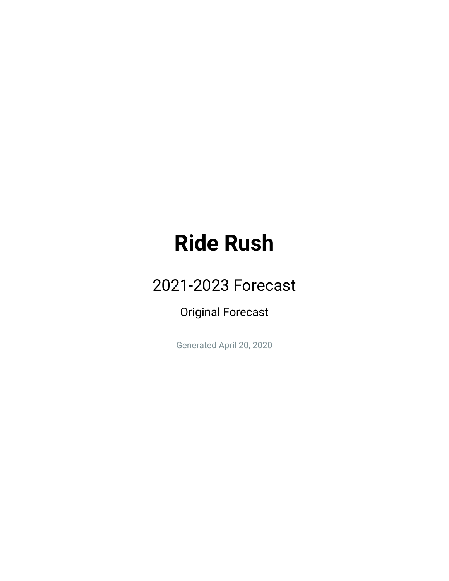#### **Ride Rush**

#### 2021-2023 Forecast

Original Forecast

Generated April 20, 2020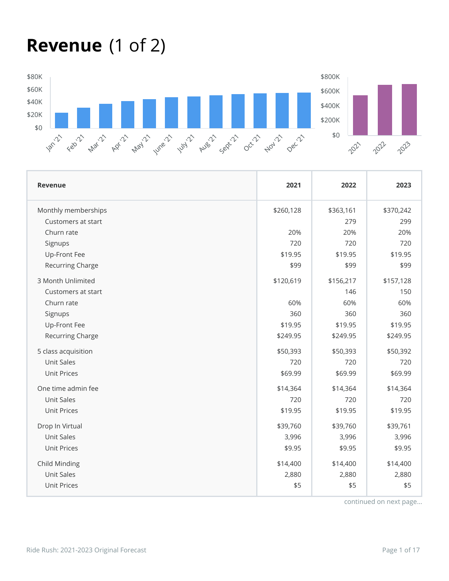#### **Revenue** (1 of 2)



| <b>Revenue</b>      | 2021      | 2022      | 2023      |
|---------------------|-----------|-----------|-----------|
| Monthly memberships | \$260,128 | \$363,161 | \$370,242 |
| Customers at start  |           | 279       | 299       |
| Churn rate          | 20%       | 20%       | 20%       |
| Signups             | 720       | 720       | 720       |
| Up-Front Fee        | \$19.95   | \$19.95   | \$19.95   |
| Recurring Charge    | \$99      | \$99      | \$99      |
| 3 Month Unlimited   | \$120,619 | \$156,217 | \$157,128 |
| Customers at start  |           | 146       | 150       |
| Churn rate          | 60%       | 60%       | 60%       |
| Signups             | 360       | 360       | 360       |
| Up-Front Fee        | \$19.95   | \$19.95   | \$19.95   |
| Recurring Charge    | \$249.95  | \$249.95  | \$249.95  |
| 5 class acquisition | \$50,393  | \$50,393  | \$50,392  |
| <b>Unit Sales</b>   | 720       | 720       | 720       |
| <b>Unit Prices</b>  | \$69.99   | \$69.99   | \$69.99   |
| One time admin fee  | \$14,364  | \$14,364  | \$14,364  |
| <b>Unit Sales</b>   | 720       | 720       | 720       |
| <b>Unit Prices</b>  | \$19.95   | \$19.95   | \$19.95   |
| Drop In Virtual     | \$39,760  | \$39,760  | \$39,761  |
| <b>Unit Sales</b>   | 3,996     | 3,996     | 3,996     |
| <b>Unit Prices</b>  | \$9.95    | \$9.95    | \$9.95    |
| Child Minding       | \$14,400  | \$14,400  | \$14,400  |
| <b>Unit Sales</b>   | 2,880     | 2,880     | 2,880     |
| <b>Unit Prices</b>  | \$5       | \$5       | \$5       |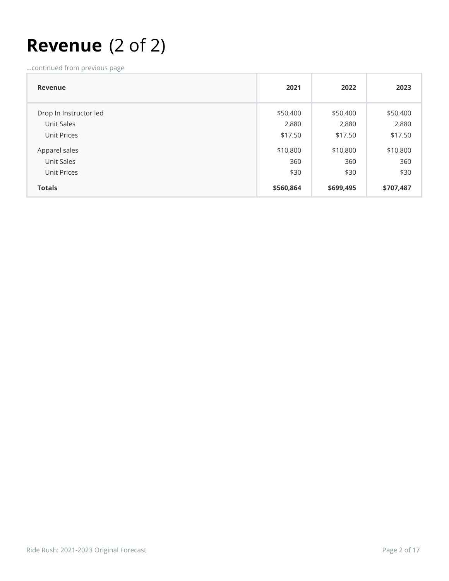#### **Revenue** (2 of 2)

| Revenue                | 2021      | 2022      | 2023      |
|------------------------|-----------|-----------|-----------|
| Drop In Instructor led | \$50,400  | \$50,400  | \$50,400  |
| Unit Sales             | 2,880     | 2,880     | 2,880     |
| Unit Prices            | \$17.50   | \$17.50   | \$17.50   |
| Apparel sales          | \$10,800  | \$10,800  | \$10,800  |
| Unit Sales             | 360       | 360       | 360       |
| Unit Prices            | \$30      | \$30      | \$30      |
| <b>Totals</b>          | \$560,864 | \$699,495 | \$707,487 |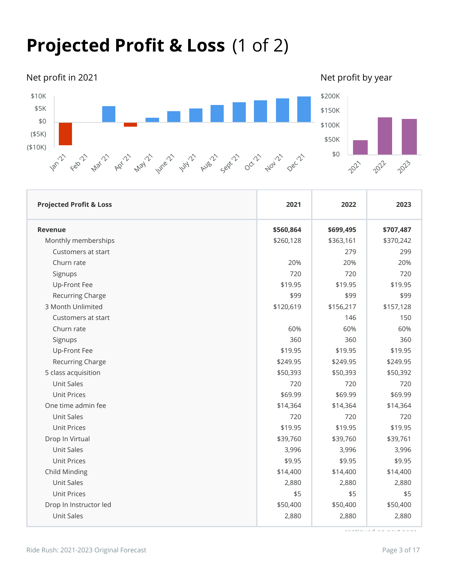#### **Projected Profit & Loss** (1 of 2)

Net profit in 2021 and the state of the Net profit by year network by year network by year network by year network

2021

2022

2023



| <b>Projected Profit &amp; Loss</b> | 2021      | 2022      | 2023      |
|------------------------------------|-----------|-----------|-----------|
| <b>Revenue</b>                     | \$560,864 | \$699,495 | \$707,487 |
| Monthly memberships                | \$260,128 | \$363,161 | \$370,242 |
| Customers at start                 |           | 279       | 299       |
| Churn rate                         | 20%       | 20%       | 20%       |
| Signups                            | 720       | 720       | 720       |
| Up-Front Fee                       | \$19.95   | \$19.95   | \$19.95   |
| Recurring Charge                   | \$99      | \$99      | \$99      |
| 3 Month Unlimited                  | \$120,619 | \$156,217 | \$157,128 |
| Customers at start                 |           | 146       | 150       |
| Churn rate                         | 60%       | 60%       | 60%       |
| Signups                            | 360       | 360       | 360       |
| Up-Front Fee                       | \$19.95   | \$19.95   | \$19.95   |
| Recurring Charge                   | \$249.95  | \$249.95  | \$249.95  |
| 5 class acquisition                | \$50,393  | \$50,393  | \$50,392  |
| <b>Unit Sales</b>                  | 720       | 720       | 720       |
| <b>Unit Prices</b>                 | \$69.99   | \$69.99   | \$69.99   |
| One time admin fee                 | \$14,364  | \$14,364  | \$14,364  |
| <b>Unit Sales</b>                  | 720       | 720       | 720       |
| <b>Unit Prices</b>                 | \$19.95   | \$19.95   | \$19.95   |
| Drop In Virtual                    | \$39,760  | \$39,760  | \$39,761  |
| <b>Unit Sales</b>                  | 3,996     | 3,996     | 3,996     |
| <b>Unit Prices</b>                 | \$9.95    | \$9.95    | \$9.95    |
| Child Minding                      | \$14,400  | \$14,400  | \$14,400  |
| <b>Unit Sales</b>                  | 2,880     | 2,880     | 2,880     |
| <b>Unit Prices</b>                 | \$5       | \$5       | \$5       |
| Drop In Instructor led             | \$50,400  | \$50,400  | \$50,400  |
| <b>Unit Sales</b>                  | 2,880     | 2,880     | 2,880     |
|                                    |           |           |           |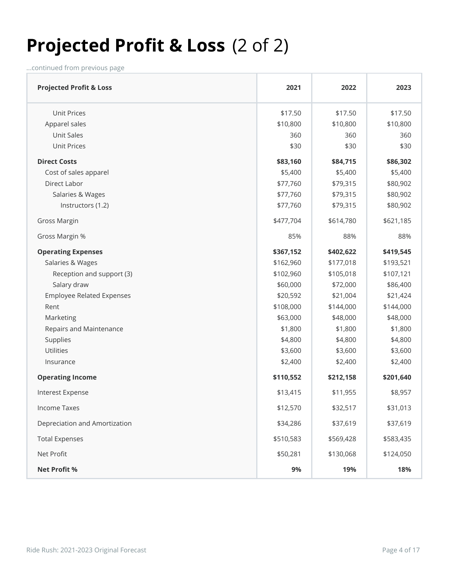#### **Projected Profit & Loss** (2 of 2)

| <b>Projected Profit &amp; Loss</b> | 2021      | 2022      | 2023      |
|------------------------------------|-----------|-----------|-----------|
| <b>Unit Prices</b>                 | \$17.50   | \$17.50   | \$17.50   |
| Apparel sales                      | \$10,800  | \$10,800  | \$10,800  |
| <b>Unit Sales</b>                  | 360       | 360       | 360       |
| <b>Unit Prices</b>                 | \$30      | \$30      | \$30      |
| <b>Direct Costs</b>                | \$83,160  | \$84,715  | \$86,302  |
| Cost of sales apparel              | \$5,400   | \$5,400   | \$5,400   |
| Direct Labor                       | \$77,760  | \$79,315  | \$80,902  |
| Salaries & Wages                   | \$77,760  | \$79,315  | \$80,902  |
| Instructors (1.2)                  | \$77,760  | \$79,315  | \$80,902  |
| <b>Gross Margin</b>                | \$477,704 | \$614,780 | \$621,185 |
| Gross Margin %                     | 85%       | 88%       | 88%       |
| <b>Operating Expenses</b>          | \$367,152 | \$402,622 | \$419,545 |
| Salaries & Wages                   | \$162,960 | \$177,018 | \$193,521 |
| Reception and support (3)          | \$102,960 | \$105,018 | \$107,121 |
| Salary draw                        | \$60,000  | \$72,000  | \$86,400  |
| <b>Employee Related Expenses</b>   | \$20,592  | \$21,004  | \$21,424  |
| Rent                               | \$108,000 | \$144,000 | \$144,000 |
| Marketing                          | \$63,000  | \$48,000  | \$48,000  |
| Repairs and Maintenance            | \$1,800   | \$1,800   | \$1,800   |
| Supplies                           | \$4,800   | \$4,800   | \$4,800   |
| Utilities                          | \$3,600   | \$3,600   | \$3,600   |
| Insurance                          | \$2,400   | \$2,400   | \$2,400   |
| <b>Operating Income</b>            | \$110,552 | \$212,158 | \$201,640 |
| Interest Expense                   | \$13,415  | \$11,955  | \$8,957   |
| <b>Income Taxes</b>                | \$12,570  | \$32,517  | \$31,013  |
| Depreciation and Amortization      | \$34,286  | \$37,619  | \$37,619  |
| <b>Total Expenses</b>              | \$510,583 | \$569,428 | \$583,435 |
| Net Profit                         | \$50,281  | \$130,068 | \$124,050 |
| <b>Net Profit %</b>                | 9%        | 19%       | 18%       |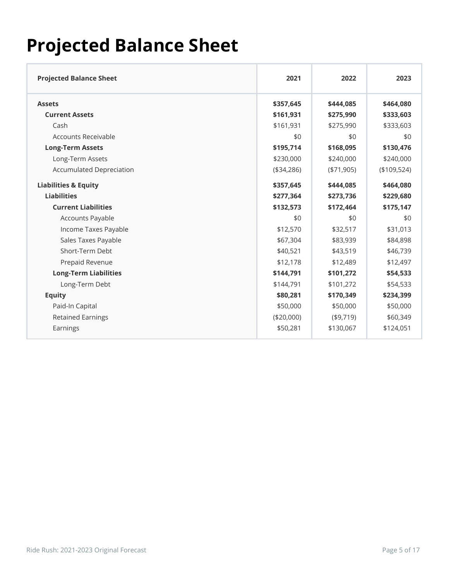#### **Projected Balance Sheet**

| <b>Projected Balance Sheet</b>  | 2021       | 2022         | 2023        |
|---------------------------------|------------|--------------|-------------|
| <b>Assets</b>                   | \$357,645  | \$444,085    | \$464,080   |
| <b>Current Assets</b>           | \$161,931  | \$275,990    | \$333,603   |
| Cash                            | \$161,931  | \$275,990    | \$333,603   |
| Accounts Receivable             | \$0        | \$0          | \$0         |
| <b>Long-Term Assets</b>         | \$195,714  | \$168,095    | \$130,476   |
| Long-Term Assets                | \$230,000  | \$240,000    | \$240,000   |
| <b>Accumulated Depreciation</b> | (\$34,286) | ( \$71, 905) | (\$109,524) |
| <b>Liabilities &amp; Equity</b> | \$357,645  | \$444,085    | \$464,080   |
| <b>Liabilities</b>              | \$277,364  | \$273,736    | \$229,680   |
| <b>Current Liabilities</b>      | \$132,573  | \$172,464    | \$175,147   |
| Accounts Payable                | \$0        | \$0          | \$0         |
| Income Taxes Payable            | \$12,570   | \$32,517     | \$31,013    |
| Sales Taxes Payable             | \$67,304   | \$83,939     | \$84,898    |
| Short-Term Debt                 | \$40,521   | \$43,519     | \$46,739    |
| Prepaid Revenue                 | \$12,178   | \$12,489     | \$12,497    |
| <b>Long-Term Liabilities</b>    | \$144,791  | \$101,272    | \$54,533    |
| Long-Term Debt                  | \$144,791  | \$101,272    | \$54,533    |
| <b>Equity</b>                   | \$80,281   | \$170,349    | \$234,399   |
| Paid-In Capital                 | \$50,000   | \$50,000     | \$50,000    |
| <b>Retained Earnings</b>        | (\$20,000) | (\$9,719)    | \$60,349    |
| Earnings                        | \$50,281   | \$130,067    | \$124,051   |
|                                 |            |              |             |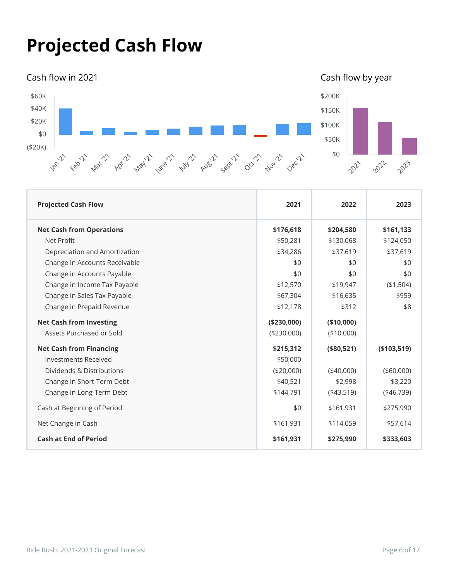#### **Projected Cash Flow**

#### Cash flow in 2021 **Cash of Cash of Cash of Cash of Cash flow** by year



| <b>Projected Cash Flow</b>      | 2021         | 2022        | 2023        |
|---------------------------------|--------------|-------------|-------------|
| <b>Net Cash from Operations</b> | \$176,618    | \$204,580   | \$161,133   |
| Net Profit                      | \$50,281     | \$130,068   | \$124,050   |
| Depreciation and Amortization   | \$34,286     | \$37,619    | \$37,619    |
| Change in Accounts Receivable   | \$0          | \$0         | \$0         |
| Change in Accounts Payable      | \$0          | \$0         | \$0         |
| Change in Income Tax Payable    | \$12,570     | \$19,947    | (\$1,504)   |
| Change in Sales Tax Payable     | \$67,304     | \$16,635    | \$959       |
| Change in Prepaid Revenue       | \$12,178     | \$312       | \$8         |
| <b>Net Cash from Investing</b>  | ( \$230,000) | (\$10,000)  |             |
| Assets Purchased or Sold        | (\$230,000)  | (\$10,000)  |             |
| <b>Net Cash from Financing</b>  | \$215,312    | (\$80,521)  | (\$103,519) |
| <b>Investments Received</b>     | \$50,000     |             |             |
| Dividends & Distributions       | (\$20,000)   | $(*40,000)$ | (\$60,000)  |
| Change in Short-Term Debt       | \$40,521     | \$2,998     | \$3,220     |
| Change in Long-Term Debt        | \$144,791    | $(*43,519)$ | $(*46,739)$ |
| Cash at Beginning of Period     | \$0          | \$161,931   | \$275,990   |
| Net Change in Cash              | \$161,931    | \$114,059   | \$57,614    |
| <b>Cash at End of Period</b>    | \$161,931    | \$275,990   | \$333,603   |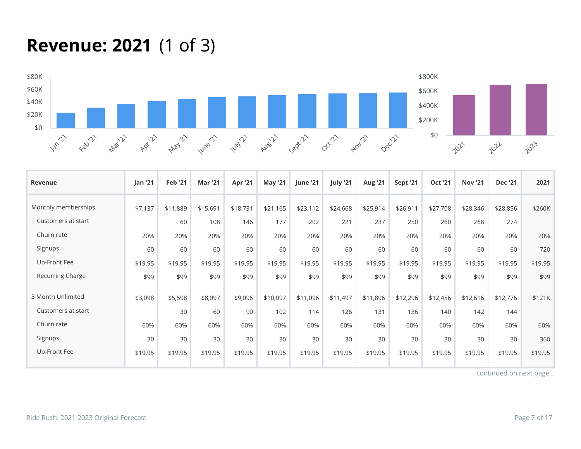### **Revenue: 2021** (1 of 3)



| Revenue             | <b>Jan '21</b> | <b>Feb '21</b> | <b>Mar '21</b> | Apr '21  | <b>May '21</b> | <b>June '21</b> | July '21 | <b>Aug '21</b> | Sept '21 | <b>Oct '21</b> | <b>Nov '21</b> | <b>Dec '21</b> | 2021    |
|---------------------|----------------|----------------|----------------|----------|----------------|-----------------|----------|----------------|----------|----------------|----------------|----------------|---------|
| Monthly memberships | \$7,137        | \$11,889       | \$15,691       | \$18,731 | \$21,165       | \$23,112        | \$24,668 | \$25,914       | \$26,911 | \$27,708       | \$28,346       | \$28,856       | \$260K  |
| Customers at start  |                | 60             | 108            | 146      | 177            | 202             | 221      | 237            | 250      | 260            | 268            | 274            |         |
| Churn rate          | 20%            | 20%            | 20%            | 20%      | 20%            | 20%             | 20%      | 20%            | 20%      | 20%            | 20%            | 20%            | 20%     |
| Signups             | 60             | 60             | 60             | 60       | 60             | 60              | 60       | 60             | 60       | 60             | 60             | 60             | 720     |
| Up-Front Fee        | \$19.95        | \$19.95        | \$19.95        | \$19.95  | \$19.95        | \$19.95         | \$19.95  | \$19.95        | \$19.95  | \$19.95        | \$19.95        | \$19.95        | \$19.95 |
| Recurring Charge    | \$99           | \$99           | \$99           | \$99     | \$99           | \$99            | \$99     | \$99           | \$99     | \$99           | \$99           | \$99           | \$99    |
| 3 Month Unlimited   | \$3,098        | \$5,598        | \$8,097        | \$9,096  | \$10,097       | \$11,096        | \$11,497 | \$11,896       | \$12,296 | \$12,456       | \$12,616       | \$12,776       | \$121K  |
| Customers at start  |                | 30             | 60             | 90       | 102            | 114             | 126      | 131            | 136      | 140            | 142            | 144            |         |
| Churn rate          | 60%            | 60%            | 60%            | 60%      | 60%            | 60%             | 60%      | 60%            | 60%      | 60%            | 60%            | 60%            | 60%     |
| Signups             | 30             | 30             | 30             | 30       | 30             | 30              | 30       | 30             | 30       | 30             | 30             | 30             | 360     |
| Up-Front Fee        | \$19.95        | \$19.95        | \$19.95        | \$19.95  | \$19.95        | \$19.95         | \$19.95  | \$19.95        | \$19.95  | \$19.95        | \$19.95        | \$19.95        | \$19.95 |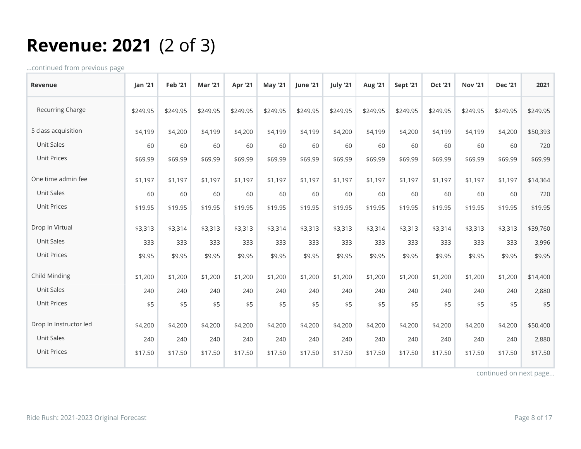## **Revenue: 2021** (2 of 3)

...continued from previous page

| <b>Revenue</b>         | Jan '21  | <b>Feb '21</b> | <b>Mar '21</b> | <b>Apr '21</b> | <b>May '21</b> | <b>June '21</b> | July '21 | <b>Aug '21</b> | <b>Sept '21</b> | <b>Oct '21</b> | <b>Nov '21</b> | <b>Dec '21</b> | 2021     |
|------------------------|----------|----------------|----------------|----------------|----------------|-----------------|----------|----------------|-----------------|----------------|----------------|----------------|----------|
| Recurring Charge       | \$249.95 | \$249.95       | \$249.95       | \$249.95       | \$249.95       | \$249.95        | \$249.95 | \$249.95       | \$249.95        | \$249.95       | \$249.95       | \$249.95       | \$249.95 |
| 5 class acquisition    | \$4,199  | \$4,200        | \$4,199        | \$4,200        | \$4,199        | \$4,199         | \$4,200  | \$4,199        | \$4,200         | \$4,199        | \$4,199        | \$4,200        | \$50,393 |
| Unit Sales             | 60       | 60             | 60             | 60             | 60             | 60              | 60       | 60             | 60              | 60             | 60             | 60             | 720      |
| <b>Unit Prices</b>     | \$69.99  | \$69.99        | \$69.99        | \$69.99        | \$69.99        | \$69.99         | \$69.99  | \$69.99        | \$69.99         | \$69.99        | \$69.99        | \$69.99        | \$69.99  |
| One time admin fee     | \$1,197  | \$1,197        | \$1,197        | \$1,197        | \$1,197        | \$1,197         | \$1,197  | \$1,197        | \$1,197         | \$1,197        | \$1,197        | \$1,197        | \$14,364 |
| Unit Sales             | 60       | 60             | 60             | 60             | 60             | 60              | 60       | 60             | 60              | 60             | 60             | 60             | 720      |
| <b>Unit Prices</b>     | \$19.95  | \$19.95        | \$19.95        | \$19.95        | \$19.95        | \$19.95         | \$19.95  | \$19.95        | \$19.95         | \$19.95        | \$19.95        | \$19.95        | \$19.95  |
| Drop In Virtual        | \$3,313  | \$3,314        | \$3,313        | \$3,313        | \$3,314        | \$3,313         | \$3,313  | \$3,314        | \$3,313         | \$3,314        | \$3,313        | \$3,313        | \$39,760 |
| Unit Sales             | 333      | 333            | 333            | 333            | 333            | 333             | 333      | 333            | 333             | 333            | 333            | 333            | 3,996    |
| <b>Unit Prices</b>     | \$9.95   | \$9.95         | \$9.95         | \$9.95         | \$9.95         | \$9.95          | \$9.95   | \$9.95         | \$9.95          | \$9.95         | \$9.95         | \$9.95         | \$9.95   |
| Child Minding          | \$1,200  | \$1,200        | \$1,200        | \$1,200        | \$1,200        | \$1,200         | \$1,200  | \$1,200        | \$1,200         | \$1,200        | \$1,200        | \$1,200        | \$14,400 |
| <b>Unit Sales</b>      | 240      | 240            | 240            | 240            | 240            | 240             | 240      | 240            | 240             | 240            | 240            | 240            | 2,880    |
| <b>Unit Prices</b>     | \$5      | \$5            | \$5            | \$5            | \$5            | \$5             | \$5      | \$5            | \$5             | \$5            | \$5            | \$5            | \$5      |
| Drop In Instructor led | \$4,200  | \$4,200        | \$4,200        | \$4,200        | \$4,200        | \$4,200         | \$4,200  | \$4,200        | \$4,200         | \$4,200        | \$4,200        | \$4,200        | \$50,400 |
| <b>Unit Sales</b>      | 240      | 240            | 240            | 240            | 240            | 240             | 240      | 240            | 240             | 240            | 240            | 240            | 2,880    |
| <b>Unit Prices</b>     | \$17.50  | \$17.50        | \$17.50        | \$17.50        | \$17.50        | \$17.50         | \$17.50  | \$17.50        | \$17.50         | \$17.50        | \$17.50        | \$17.50        | \$17.50  |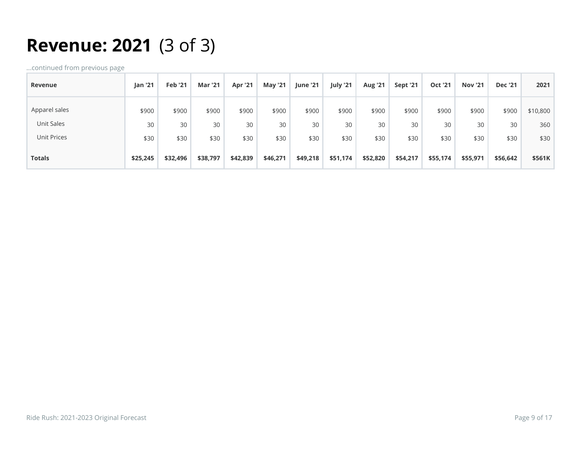## **Revenue: 2021** (3 of 3)

| Revenue       | <b>Jan '21</b> | <b>Feb '21</b> | Mar '21  | <b>Apr '21</b> | <b>May '21</b> | <b>June '21</b> | July '21 | <b>Aug '21</b> | <b>Sept '21</b> | <b>Oct '21</b> | <b>Nov '21</b> | <b>Dec '21</b> | 2021     |
|---------------|----------------|----------------|----------|----------------|----------------|-----------------|----------|----------------|-----------------|----------------|----------------|----------------|----------|
| Apparel sales | \$900          | \$900          | \$900    | \$900          | \$900          | \$900           | \$900    | \$900          | \$900           | \$900          | \$900          | \$900          | \$10,800 |
| Unit Sales    | 30             | 30             | 30       | 30             | 30             | 30              | 30       | 30             | 30              | 30             | 30             | 30             | 360      |
| Unit Prices   | \$30           | \$30           | \$30     | \$30           | \$30           | \$30            | \$30     | \$30           | \$30            | \$30           | \$30           | \$30           | \$30     |
| <b>Totals</b> | \$25,245       | \$32,496       | \$38,797 | \$42,839       | \$46,271       | \$49,218        | \$51,174 | \$52,820       | \$54,217        | \$55,174       | \$55,971       | \$56,642       | \$561K   |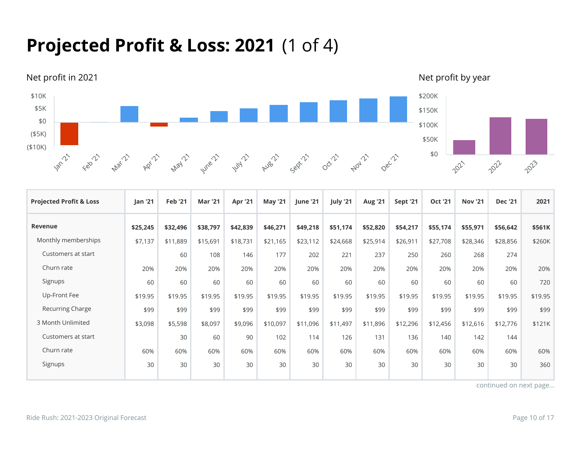## **Projected Profit & Loss: 2021** (1 of 4)



| <b>Projected Profit &amp; Loss</b> | Jan '21  | <b>Feb '21</b> | <b>Mar '21</b> | Apr '21  | <b>May '21</b> | June '21 | July '21 | <b>Aug '21</b> | <b>Sept '21</b> | <b>Oct '21</b> | <b>Nov '21</b> | <b>Dec '21</b> | 2021    |
|------------------------------------|----------|----------------|----------------|----------|----------------|----------|----------|----------------|-----------------|----------------|----------------|----------------|---------|
| <b>Revenue</b>                     | \$25,245 | \$32,496       | \$38,797       | \$42,839 | \$46,271       | \$49,218 | \$51,174 | \$52,820       | \$54,217        | \$55,174       | \$55,971       | \$56,642       | \$561K  |
| Monthly memberships                | \$7,137  | \$11,889       | \$15,691       | \$18,731 | \$21,165       | \$23,112 | \$24,668 | \$25,914       | \$26,911        | \$27,708       | \$28,346       | \$28,856       | \$260K  |
| Customers at start                 |          | 60             | 108            | 146      | 177            | 202      | 221      | 237            | 250             | 260            | 268            | 274            |         |
| Churn rate                         | 20%      | 20%            | 20%            | 20%      | 20%            | 20%      | 20%      | 20%            | 20%             | 20%            | 20%            | 20%            | 20%     |
| Signups                            | 60       | 60             | 60             | 60       | 60             | 60       | 60       | 60             | 60              | 60             | 60             | 60             | 720     |
| Up-Front Fee                       | \$19.95  | \$19.95        | \$19.95        | \$19.95  | \$19.95        | \$19.95  | \$19.95  | \$19.95        | \$19.95         | \$19.95        | \$19.95        | \$19.95        | \$19.95 |
| Recurring Charge                   | \$99     | \$99           | \$99           | \$99     | \$99           | \$99     | \$99     | \$99           | \$99            | \$99           | \$99           | \$99           | \$99    |
| 3 Month Unlimited                  | \$3,098  | \$5,598        | \$8,097        | \$9,096  | \$10,097       | \$11,096 | \$11,497 | \$11,896       | \$12,296        | \$12,456       | \$12,616       | \$12,776       | \$121K  |
| Customers at start                 |          | 30             | 60             | 90       | 102            | 114      | 126      | 131            | 136             | 140            | 142            | 144            |         |
| Churn rate                         | 60%      | 60%            | 60%            | 60%      | 60%            | 60%      | 60%      | 60%            | 60%             | 60%            | 60%            | 60%            | 60%     |
| Signups                            | 30       | 30             | 30             | 30       | 30             | 30       | 30       | 30             | 30              | 30             | 30             | 30             | 360     |
|                                    |          |                |                |          |                |          |          |                |                 |                |                |                |         |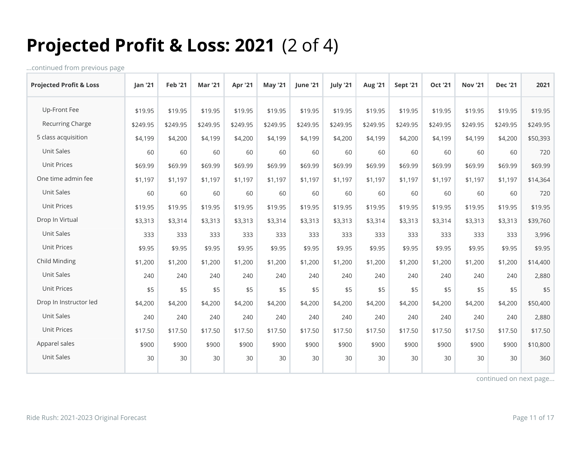## **Projected Profit & Loss: 2021** (2 of 4)

...continued from previous page

| <b>Projected Profit &amp; Loss</b> | <b>Jan '21</b> | <b>Feb '21</b> | <b>Mar '21</b> | Apr '21  | <b>May '21</b> | <b>lune '21</b> | July '21 | <b>Aug '21</b> | <b>Sept '21</b> | <b>Oct '21</b> | <b>Nov '21</b> | <b>Dec '21</b> | 2021     |
|------------------------------------|----------------|----------------|----------------|----------|----------------|-----------------|----------|----------------|-----------------|----------------|----------------|----------------|----------|
| Up-Front Fee                       | \$19.95        | \$19.95        | \$19.95        | \$19.95  | \$19.95        | \$19.95         | \$19.95  | \$19.95        | \$19.95         | \$19.95        | \$19.95        | \$19.95        | \$19.95  |
| Recurring Charge                   | \$249.95       | \$249.95       | \$249.95       | \$249.95 | \$249.95       | \$249.95        | \$249.95 | \$249.95       | \$249.95        | \$249.95       | \$249.95       | \$249.95       | \$249.95 |
| 5 class acquisition                | \$4,199        | \$4,200        | \$4,199        | \$4,200  | \$4,199        | \$4,199         | \$4,200  | \$4,199        | \$4,200         | \$4,199        | \$4,199        | \$4,200        | \$50,393 |
| Unit Sales                         | 60             | 60             | 60             | 60       | 60             | 60              | 60       | 60             | 60              | 60             | 60             | 60             | 720      |
| Unit Prices                        | \$69.99        | \$69.99        | \$69.99        | \$69.99  | \$69.99        | \$69.99         | \$69.99  | \$69.99        | \$69.99         | \$69.99        | \$69.99        | \$69.99        | \$69.99  |
| One time admin fee                 | \$1,197        | \$1,197        | \$1,197        | \$1,197  | \$1,197        | \$1,197         | \$1,197  | \$1,197        | \$1,197         | \$1,197        | \$1,197        | \$1,197        | \$14,364 |
| Unit Sales                         | 60             | 60             | 60             | 60       | 60             | 60              | 60       | 60             | 60              | 60             | 60             | 60             | 720      |
| <b>Unit Prices</b>                 | \$19.95        | \$19.95        | \$19.95        | \$19.95  | \$19.95        | \$19.95         | \$19.95  | \$19.95        | \$19.95         | \$19.95        | \$19.95        | \$19.95        | \$19.95  |
| Drop In Virtual                    | \$3,313        | \$3,314        | \$3,313        | \$3,313  | \$3,314        | \$3,313         | \$3,313  | \$3,314        | \$3,313         | \$3,314        | \$3,313        | \$3,313        | \$39,760 |
| Unit Sales                         | 333            | 333            | 333            | 333      | 333            | 333             | 333      | 333            | 333             | 333            | 333            | 333            | 3,996    |
| <b>Unit Prices</b>                 | \$9.95         | \$9.95         | \$9.95         | \$9.95   | \$9.95         | \$9.95          | \$9.95   | \$9.95         | \$9.95          | \$9.95         | \$9.95         | \$9.95         | \$9.95   |
| Child Minding                      | \$1,200        | \$1,200        | \$1,200        | \$1,200  | \$1,200        | \$1,200         | \$1,200  | \$1,200        | \$1,200         | \$1,200        | \$1,200        | \$1,200        | \$14,400 |
| Unit Sales                         | 240            | 240            | 240            | 240      | 240            | 240             | 240      | 240            | 240             | 240            | 240            | 240            | 2,880    |
| <b>Unit Prices</b>                 | \$5            | \$5            | \$5            | \$5      | \$5            | \$5             | \$5      | \$5            | \$5             | \$5            | \$5            | \$5            | \$5      |
| Drop In Instructor led             | \$4,200        | \$4,200        | \$4,200        | \$4,200  | \$4,200        | \$4,200         | \$4,200  | \$4,200        | \$4,200         | \$4,200        | \$4,200        | \$4,200        | \$50,400 |
| Unit Sales                         | 240            | 240            | 240            | 240      | 240            | 240             | 240      | 240            | 240             | 240            | 240            | 240            | 2,880    |
| <b>Unit Prices</b>                 | \$17.50        | \$17.50        | \$17.50        | \$17.50  | \$17.50        | \$17.50         | \$17.50  | \$17.50        | \$17.50         | \$17.50        | \$17.50        | \$17.50        | \$17.50  |
| Apparel sales                      | \$900          | \$900          | \$900          | \$900    | \$900          | \$900           | \$900    | \$900          | \$900           | \$900          | \$900          | \$900          | \$10,800 |
| Unit Sales                         | 30             | 30             | 30             | 30       | 30             | 30              | 30       | 30             | 30              | 30             | 30             | 30             | 360      |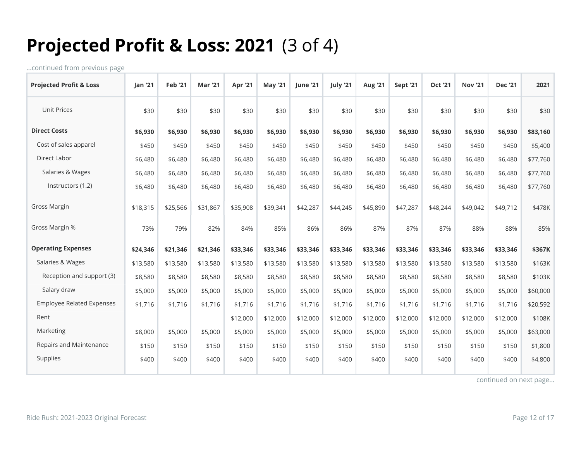## **Projected Profit & Loss: 2021** (3 of 4)

...continued from previous page

| <b>Projected Profit &amp; Loss</b> | <b>Jan '21</b> | <b>Feb '21</b> | <b>Mar '21</b> | <b>Apr '21</b> | <b>May '21</b> | <b>lune '21</b> | July '21 | <b>Aug '21</b> | <b>Sept '21</b> | <b>Oct '21</b> | <b>Nov '21</b> | <b>Dec '21</b> | 2021     |
|------------------------------------|----------------|----------------|----------------|----------------|----------------|-----------------|----------|----------------|-----------------|----------------|----------------|----------------|----------|
| <b>Unit Prices</b>                 | \$30           | \$30           | \$30           | \$30           | \$30           | \$30            | \$30     | \$30           | \$30            | \$30           | \$30           | \$30           | \$30     |
| <b>Direct Costs</b>                | \$6,930        | \$6,930        | \$6,930        | \$6,930        | \$6,930        | \$6,930         | \$6,930  | \$6,930        | \$6,930         | \$6,930        | \$6,930        | \$6,930        | \$83,160 |
| Cost of sales apparel              | \$450          | \$450          | \$450          | \$450          | \$450          | \$450           | \$450    | \$450          | \$450           | \$450          | \$450          | \$450          | \$5,400  |
| Direct Labor                       | \$6,480        | \$6,480        | \$6,480        | \$6,480        | \$6,480        | \$6,480         | \$6,480  | \$6,480        | \$6,480         | \$6,480        | \$6,480        | \$6,480        | \$77,760 |
| Salaries & Wages                   | \$6,480        | \$6,480        | \$6,480        | \$6,480        | \$6,480        | \$6,480         | \$6,480  | \$6,480        | \$6,480         | \$6,480        | \$6,480        | \$6,480        | \$77,760 |
| Instructors (1.2)                  | \$6,480        | \$6,480        | \$6,480        | \$6,480        | \$6,480        | \$6,480         | \$6,480  | \$6,480        | \$6,480         | \$6,480        | \$6,480        | \$6,480        | \$77,760 |
| <b>Gross Margin</b>                | \$18,315       | \$25,566       | \$31,867       | \$35,908       | \$39,341       | \$42,287        | \$44,245 | \$45,890       | \$47,287        | \$48,244       | \$49,042       | \$49,712       | \$478K   |
| Gross Margin %                     | 73%            | 79%            | 82%            | 84%            | 85%            | 86%             | 86%      | 87%            | 87%             | 87%            | 88%            | 88%            | 85%      |
| <b>Operating Expenses</b>          | \$24,346       | \$21,346       | \$21,346       | \$33,346       | \$33,346       | \$33,346        | \$33,346 | \$33,346       | \$33,346        | \$33,346       | \$33,346       | \$33,346       | \$367K   |
| Salaries & Wages                   | \$13,580       | \$13,580       | \$13,580       | \$13,580       | \$13,580       | \$13,580        | \$13,580 | \$13,580       | \$13,580        | \$13,580       | \$13,580       | \$13,580       | \$163K   |
| Reception and support (3)          | \$8,580        | \$8,580        | \$8,580        | \$8,580        | \$8,580        | \$8,580         | \$8,580  | \$8,580        | \$8,580         | \$8,580        | \$8,580        | \$8,580        | \$103K   |
| Salary draw                        | \$5,000        | \$5,000        | \$5,000        | \$5,000        | \$5,000        | \$5,000         | \$5,000  | \$5,000        | \$5,000         | \$5,000        | \$5,000        | \$5,000        | \$60,000 |
| <b>Employee Related Expenses</b>   | \$1,716        | \$1,716        | \$1,716        | \$1,716        | \$1,716        | \$1,716         | \$1,716  | \$1,716        | \$1,716         | \$1,716        | \$1,716        | \$1,716        | \$20,592 |
| Rent                               |                |                |                | \$12,000       | \$12,000       | \$12,000        | \$12,000 | \$12,000       | \$12,000        | \$12,000       | \$12,000       | \$12,000       | \$108K   |
| Marketing                          | \$8,000        | \$5,000        | \$5,000        | \$5,000        | \$5,000        | \$5,000         | \$5,000  | \$5,000        | \$5,000         | \$5,000        | \$5,000        | \$5,000        | \$63,000 |
| Repairs and Maintenance            | \$150          | \$150          | \$150          | \$150          | \$150          | \$150           | \$150    | \$150          | \$150           | \$150          | \$150          | \$150          | \$1,800  |
| Supplies                           | \$400          | \$400          | \$400          | \$400          | \$400          | \$400           | \$400    | \$400          | \$400           | \$400          | \$400          | \$400          | \$4,800  |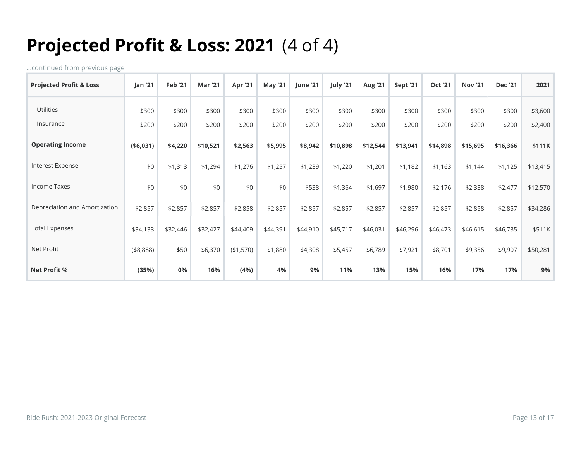## **Projected Profit & Loss: 2021** (4 of 4)

| <b>Projected Profit &amp; Loss</b> | Jan '21    | <b>Feb '21</b> | <b>Mar '21</b> | Apr '21   | <b>May '21</b> | <b>June '21</b> | July '21 | <b>Aug '21</b> | <b>Sept '21</b> | <b>Oct '21</b> | <b>Nov '21</b> | <b>Dec '21</b> | 2021     |
|------------------------------------|------------|----------------|----------------|-----------|----------------|-----------------|----------|----------------|-----------------|----------------|----------------|----------------|----------|
| Utilities                          | \$300      | \$300          | \$300          | \$300     | \$300          | \$300           | \$300    | \$300          | \$300           | \$300          | \$300          | \$300          | \$3,600  |
| Insurance                          | \$200      | \$200          | \$200          | \$200     | \$200          | \$200           | \$200    | \$200          | \$200           | \$200          | \$200          | \$200          | \$2,400  |
| <b>Operating Income</b>            | ( \$6,031) | \$4,220        | \$10,521       | \$2,563   | \$5,995        | \$8,942         | \$10,898 | \$12,544       | \$13,941        | \$14,898       | \$15,695       | \$16,366       | \$111K   |
| Interest Expense                   | \$0        | \$1,313        | \$1,294        | \$1,276   | \$1,257        | \$1,239         | \$1,220  | \$1,201        | \$1,182         | \$1,163        | \$1,144        | \$1,125        | \$13,415 |
| <b>Income Taxes</b>                | \$0        | \$0            | \$0            | \$0       | \$0            | \$538           | \$1,364  | \$1,697        | \$1,980         | \$2,176        | \$2,338        | \$2,477        | \$12,570 |
| Depreciation and Amortization      | \$2,857    | \$2,857        | \$2,857        | \$2,858   | \$2,857        | \$2,857         | \$2,857  | \$2,857        | \$2,857         | \$2,857        | \$2,858        | \$2,857        | \$34,286 |
| <b>Total Expenses</b>              | \$34,133   | \$32,446       | \$32,427       | \$44,409  | \$44,391       | \$44,910        | \$45,717 | \$46,031       | \$46,296        | \$46,473       | \$46,615       | \$46,735       | \$511K   |
| Net Profit                         | ( \$8,888) | \$50           | \$6,370        | (\$1,570) | \$1,880        | \$4,308         | \$5,457  | \$6,789        | \$7,921         | \$8,701        | \$9,356        | \$9,907        | \$50,281 |
| <b>Net Profit %</b>                | (35%)      | 0%             | 16%            | (4%)      | 4%             | 9%              | 11%      | 13%            | 15%             | 16%            | 17%            | 17%            | 9%       |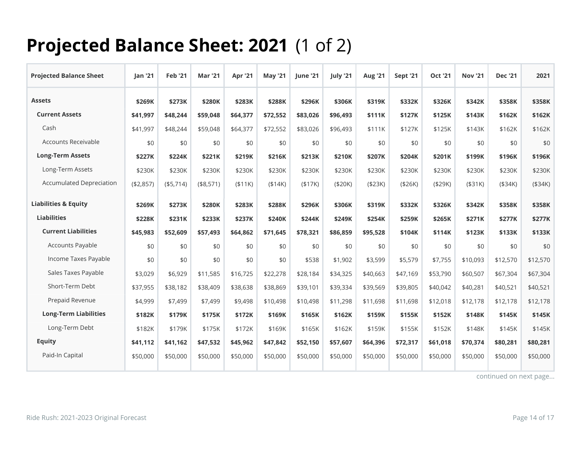## **Projected Balance Sheet: 2021** (1 of 2)

| <b>Projected Balance Sheet</b>  | Jan '21   | <b>Feb '21</b> | <b>Mar '21</b> | Apr '21  | <b>May '21</b> | June '21 | July '21 | <b>Aug '21</b> | Sept '21 | <b>Oct '21</b> | <b>Nov '21</b> | <b>Dec '21</b> | 2021     |
|---------------------------------|-----------|----------------|----------------|----------|----------------|----------|----------|----------------|----------|----------------|----------------|----------------|----------|
| <b>Assets</b>                   | \$269K    | \$273K         | \$280K         | \$283K   | \$288K         | \$296K   | \$306K   | \$319K         | \$332K   | \$326K         | \$342K         | \$358K         | \$358K   |
| <b>Current Assets</b>           | \$41,997  | \$48,244       | \$59,048       | \$64,377 | \$72,552       | \$83,026 | \$96,493 | \$111K         | \$127K   | \$125K         | \$143K         | \$162K         | \$162K   |
| Cash                            | \$41,997  | \$48,244       | \$59,048       | \$64,377 | \$72,552       | \$83,026 | \$96,493 | \$111K         | \$127K   | \$125K         | \$143K         | \$162K         | \$162K   |
| Accounts Receivable             | \$0       | \$0            | \$0            | \$0      | \$0            | \$0      | \$0      | \$0            | \$0      | \$0            | \$0            | \$0            | \$0      |
| <b>Long-Term Assets</b>         | \$227K    | \$224K         | \$221K         | \$219K   | \$216K         | \$213K   | \$210K   | \$207K         | \$204K   | \$201K         | \$199K         | \$196K         | \$196K   |
| Long-Term Assets                | \$230K    | \$230K         | \$230K         | \$230K   | \$230K         | \$230K   | \$230K   | \$230K         | \$230K   | \$230K         | \$230K         | \$230K         | \$230K   |
| <b>Accumulated Depreciation</b> | (\$2,857) | (\$5,714)      | (\$8,571)      | (\$11K)  | (\$14K)        | (\$17K)  | (\$20K)  | (\$23K)        | (\$26K)  | ( \$29K)       | ( \$31K)       | ( \$34K)       | (\$34K)  |
| <b>Liabilities &amp; Equity</b> | \$269K    | \$273K         | \$280K         | \$283K   | \$288K         | \$296K   | \$306K   | \$319K         | \$332K   | \$326K         | \$342K         | \$358K         | \$358K   |
| <b>Liabilities</b>              | \$228K    | \$231K         | \$233K         | \$237K   | \$240K         | \$244K   | \$249K   | \$254K         | \$259K   | \$265K         | \$271K         | \$277K         | \$277K   |
| <b>Current Liabilities</b>      | \$45,983  | \$52,609       | \$57,493       | \$64,862 | \$71,645       | \$78,321 | \$86,859 | \$95,528       | \$104K   | \$114K         | \$123K         | \$133K         | \$133K   |
| Accounts Payable                | \$0       | \$0            | \$0            | \$0      | \$0            | \$0      | \$0      | \$0            | \$0      | \$0            | \$0            | \$0            | \$0      |
| Income Taxes Payable            | \$0       | \$0            | \$0            | \$0      | \$0            | \$538    | \$1,902  | \$3,599        | \$5,579  | \$7,755        | \$10,093       | \$12,570       | \$12,570 |
| Sales Taxes Payable             | \$3,029   | \$6,929        | \$11,585       | \$16,725 | \$22,278       | \$28,184 | \$34,325 | \$40,663       | \$47,169 | \$53,790       | \$60,507       | \$67,304       | \$67,304 |
| Short-Term Debt                 | \$37,955  | \$38,182       | \$38,409       | \$38,638 | \$38,869       | \$39,101 | \$39,334 | \$39,569       | \$39,805 | \$40,042       | \$40,281       | \$40,521       | \$40,521 |
| Prepaid Revenue                 | \$4,999   | \$7,499        | \$7,499        | \$9,498  | \$10,498       | \$10,498 | \$11,298 | \$11,698       | \$11,698 | \$12,018       | \$12,178       | \$12,178       | \$12,178 |
| <b>Long-Term Liabilities</b>    | \$182K    | \$179K         | \$175K         | \$172K   | \$169K         | \$165K   | \$162K   | \$159K         | \$155K   | \$152K         | \$148K         | \$145K         | \$145K   |
| Long-Term Debt                  | \$182K    | \$179K         | \$175K         | \$172K   | \$169K         | \$165K   | \$162K   | \$159K         | \$155K   | \$152K         | \$148K         | \$145K         | \$145K   |
| <b>Equity</b>                   | \$41.112  | \$41.162       | \$47,532       | \$45,962 | \$47,842       | \$52.150 | \$57.607 | \$64,396       | \$72.317 | \$61,018       | \$70,374       | \$80,281       | \$80,281 |
| Paid-In Capital                 | \$50,000  | \$50,000       | \$50,000       | \$50,000 | \$50,000       | \$50,000 | \$50,000 | \$50,000       | \$50,000 | \$50,000       | \$50,000       | \$50,000       | \$50,000 |
|                                 |           |                |                |          |                |          |          |                |          |                |                |                |          |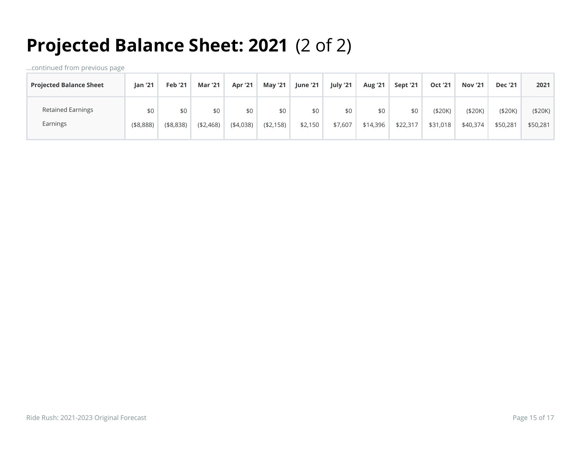# **Projected Balance Sheet: 2021** (2 of 2)

| <b>Projected Balance Sheet</b> | <b>lan '21</b> | <b>Feb '21</b> | <b>Mar '21</b> | <b>Apr '21</b> | <b>May '21</b> | <b>June '21</b> | July '21 | <b>Aug '21</b> | Sept '21 | <b>Oct '21</b> | <b>Nov '21</b> | <b>Dec '21</b> | 2021     |
|--------------------------------|----------------|----------------|----------------|----------------|----------------|-----------------|----------|----------------|----------|----------------|----------------|----------------|----------|
| <b>Retained Earnings</b>       | \$0            | \$0            | \$0            | \$0            | \$0            | \$0             | \$0      | \$0            | \$0      | ( \$20K)       | ( \$20K)       | ( \$20K)       | (\$20K)  |
| Earnings                       | ( \$8,888)     | (\$8,838)      | (42, 468)      | (4,038)        | ( \$2,158)     | \$2,150         | \$7,607  | \$14,396       | \$22,317 | \$31,018       | \$40,374       | \$50,281       | \$50,281 |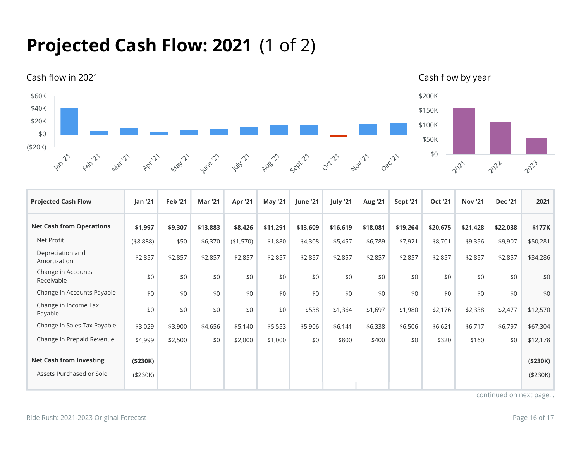## **Projected Cash Flow: 2021** (1 of 2)



| <b>Projected Cash Flow</b>       | Jan '21   | <b>Feb '21</b> | <b>Mar '21</b> | Apr '21   | <b>May '21</b> | June '21 | July '21 | <b>Aug '21</b> | Sept '21 | <b>Oct '21</b> | <b>Nov '21</b> | <b>Dec '21</b> | 2021      |
|----------------------------------|-----------|----------------|----------------|-----------|----------------|----------|----------|----------------|----------|----------------|----------------|----------------|-----------|
| <b>Net Cash from Operations</b>  | \$1,997   | \$9,307        | \$13,883       | \$8,426   | \$11,291       | \$13,609 | \$16,619 | \$18,081       | \$19,264 | \$20,675       | \$21,428       | \$22,038       | \$177K    |
| Net Profit                       | (\$8,888) | \$50           | \$6,370        | (\$1,570) | \$1,880        | \$4,308  | \$5,457  | \$6,789        | \$7,921  | \$8,701        | \$9,356        | \$9,907        | \$50,281  |
| Depreciation and<br>Amortization | \$2,857   | \$2,857        | \$2,857        | \$2,857   | \$2,857        | \$2,857  | \$2,857  | \$2,857        | \$2,857  | \$2,857        | \$2,857        | \$2,857        | \$34,286  |
| Change in Accounts<br>Receivable | \$0       | \$0            | \$0            | \$0       | \$0            | \$0      | \$0      | \$0            | \$0      | \$0            | \$0            | \$0            | \$0       |
| Change in Accounts Payable       | \$0       | \$0            | \$0            | \$0       | \$0            | \$0      | \$0      | \$0            | \$0      | \$0            | \$0            | \$0            | \$0       |
| Change in Income Tax<br>Payable  | \$0       | \$0            | \$0            | \$0       | \$0            | \$538    | \$1,364  | \$1,697        | \$1,980  | \$2,176        | \$2,338        | \$2,477        | \$12,570  |
| Change in Sales Tax Payable      | \$3,029   | \$3,900        | \$4,656        | \$5,140   | \$5,553        | \$5,906  | \$6,141  | \$6,338        | \$6,506  | \$6,621        | \$6,717        | \$6,797        | \$67,304  |
| Change in Prepaid Revenue        | \$4,999   | \$2,500        | \$0            | \$2,000   | \$1,000        | \$0      | \$800    | \$400          | \$0      | \$320          | \$160          | \$0            | \$12,178  |
| <b>Net Cash from Investing</b>   | ( \$230K) |                |                |           |                |          |          |                |          |                |                |                | ( \$230K) |
| Assets Purchased or Sold         | (\$230K)  |                |                |           |                |          |          |                |          |                |                |                | (\$230K)  |